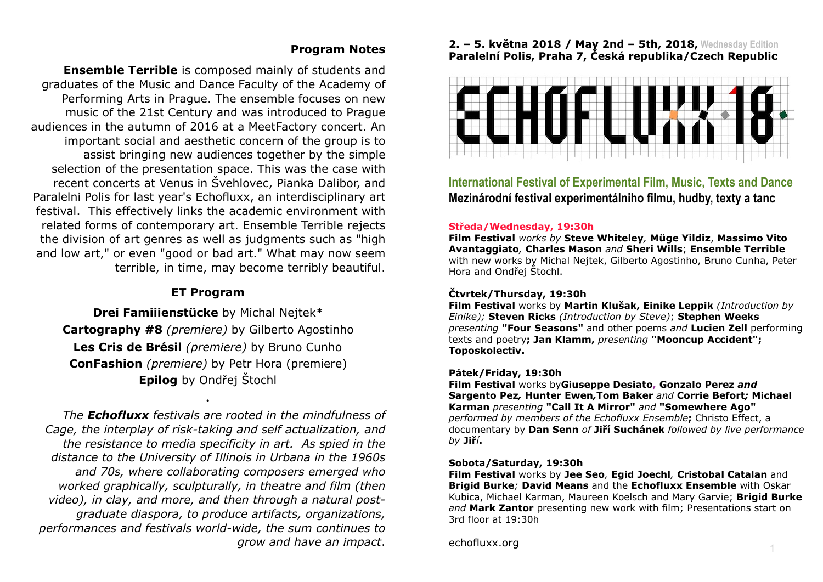## **Program Notes**

**Ensemble Terrible** is composed mainly of students and graduates of the Music and Dance Faculty of the Academy of Performing Arts in Prague. The ensemble focuses on new music of the 21st Century and was introduced to Prague audiences in the autumn of 2016 at a MeetFactory concert. An important social and aesthetic concern of the group is to assist bringing new audiences together by the simple selection of the presentation space. This was the case with recent concerts at Venus in Švehlovec, Pianka Dalibor, and Paralelni Polis for last year's Echofluxx, an interdisciplinary art festival. This effectively links the academic environment with related forms of contemporary art. Ensemble Terrible rejects the division of art genres as well as judgments such as "high and low art," or even "good or bad art." What may now seem terrible, in time, may become terribly beautiful.

# **ET Program**

**Drei Famiiienstücke** by Michal Nejtek\* **Cartography #8** *(premiere)* by Gilberto Agostinho **Les Cris de Brésil** *(premiere)* by Bruno Cunho **ConFashion** *(premiere)* by Petr Hora (premiere) **Epilog** by Ondřej Štochl

**.** 

*The Echofluxx festivals are rooted in the mindfulness of Cage, the interplay of risk-taking and self actualization, and the resistance to media specificity in art. As spied in the distance to the University of Illinois in Urbana in the 1960s and 70s, where collaborating composers emerged who worked graphically, sculpturally, in theatre and film (then video), in clay, and more, and then through a natural postgraduate diaspora, to produce artifacts, organizations, performances and festivals world-wide, the sum continues to grow and have an impact*.

### **2. – 5. května 2018 / May 2nd – 5th, 2018, Wednesday Edition Paralelní Polis, Praha 7, Česká republika/Czech Republic**



**International Festival of Experimental Film, Music, Texts and Dance Mezinárodní festival experimentálniho filmu, hudby, texty a tanc** 

#### **Středa/Wednesday, 19:30h**

**Film Festival** *works by* **Steve Whiteley***,* **Müge Yildiz**, **Massimo Vito Avantaggiato***,* **Charles Mason** *and* **Sheri Wills**; **Ensemble Terrible** with new works by Michal Nejtek, Gilberto Agostinho, Bruno Cunha, Peter Hora and Ondřej Štochl.

### **Čtvrtek/Thursday, 19:30h**

**Film Festival** works by **Martin Klušak, Einike Leppik** *(Introduction by Einike);* **Steven Ricks** *(Introduction by Steve)*; **Stephen Weeks** *presenting* **"Four Seasons"** and other poems *and* **Lucien Zell** performing texts and poetry**; Jan Klamm,** *presenting* **"Mooncup Accident"; Toposkolectiv.**

#### **Pátek/Friday, 19:30h**

**Film Festival** works by**Giuseppe Desiato, Gonzalo Perez** *and*  **Sar[gento Pe](http://echofluxx.org/ECHOFLUXX18/index.html#karman2)z***,* **Hunter Ewen***,***Tom Baker** *and* **Corrie Befort***;* **Micha[el](http://echofluxx.org/ECHOFLUXX18/index.html#karman2)  Karman** *presenting* **"Call It A Mirror"** *and* **"Somewhere Ago"**  *performed by members of the Echofluxx Ensemble***;** Christo Effect, a documentary by **Dan Senn** *of* **Jiří Suchánek** *followed by live performance by* **Jiř***í***.**

#### **Sobota/Saturday, 19:30h**

**Film Festival** works by **Jee Seo***,* **Egid Joechl***,* **Cristobal Catalan** and **Brigid Burke***;* **David Means** and the **Echofluxx Ensemble** with Oskar Kubica, Michael Karman, Maureen Koelsch and Mary Garvie; **Brigid Burke** and Mark Zantor presenting new work with film; Presentations start on 3rd floor at 19:30h

echofluxx.org <sup>1</sup>